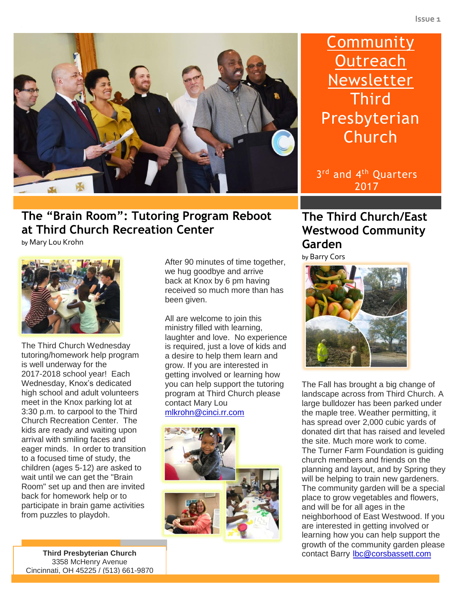

# **The "Brain Room": Tutoring Program Reboot at Third Church Recreation Center**

by Mary Lou Krohn



The Third Church Wednesday tutoring/homework help program is well underway for the 2017-2018 school year! Each Wednesday, Knox's dedicated high school and adult volunteers meet in the Knox parking lot at 3:30 p.m. to carpool to the Third Church Recreation Center. The kids are ready and waiting upon arrival with smiling faces and eager minds. In order to transition to a focused time of study, the children (ages 5-12) are asked to wait until we can get the "Brain Room" set up and then are invited back for homework help or to participate in brain game activities from puzzles to playdoh.

After 90 minutes of time together, we hug goodbye and arrive back at Knox by 6 pm having received so much more than has been given.

All are welcome to join this ministry filled with learning, laughter and love. No experience is required, just a love of kids and a desire to help them learn and grow. If you are interested in getting involved or learning how you can help support the tutoring program at Third Church please contact Mary Lou [mlkrohn@cinci.rr.com](mailto:mlkrohn@cinci.rr.com)



# **Community Outreach Newsletter Third** Presbyterian Church

3<sup>rd</sup> and 4<sup>th</sup> Quarters 2017

## **The Third Church/East Westwood Community Garden**

by Barry Cors



The Fall has brought a big change of landscape across from Third Church. A large bulldozer has been parked under the maple tree. Weather permitting, it has spread over 2,000 cubic yards of donated dirt that has raised and leveled the site. Much more work to come. The Turner Farm Foundation is guiding church members and friends on the planning and layout, and by Spring they will be helping to train new gardeners. The community garden will be a special place to grow vegetables and flowers, and will be for all ages in the neighborhood of East Westwood. If you are interested in getting involved or learning how you can help support the growth of the community garden please contact Barry [lbc@corsbassett.com](mailto:lbc@corsbassett.com)

**Third Presbyterian Church** 3358 McHenry Avenue Cincinnati, OH 45225 / (513) 661-9870